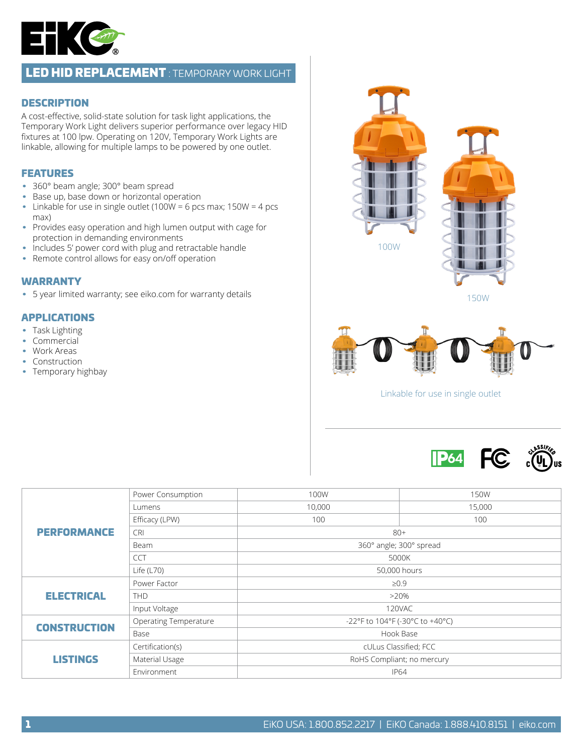

## LED HID REPLACEMENT : TEMPORARY WORK LIGHT

### **DESCRIPTION**

A cost-effective, solid-state solution for task light applications, the Temporary Work Light delivers superior performance over legacy HID fixtures at 100 lpw. Operating on 120V, Temporary Work Lights are linkable, allowing for multiple lamps to be powered by one outlet.

### FEATURES

- 360° beam angle; 300° beam spread
- Base up, base down or horizontal operation
- Linkable for use in single outlet (100W = 6 pcs max;  $150W = 4$  pcs max)
- Provides easy operation and high lumen output with cage for protection in demanding environments
- Includes 5' power cord with plug and retractable handle
- Remote control allows for easy on/off operation

#### WARRANTY

• 5 year limited warranty; see eiko.com for warranty details

### APPLICATIONS

- Task Lighting
- Commercial
- Work Areas
- Construction
- Temporary highbay



Linkable for use in single outlet



| <b>PERFORMANCE</b>  | Power Consumption            | 100W   | 150W                            |  |  |  |  |  |
|---------------------|------------------------------|--------|---------------------------------|--|--|--|--|--|
|                     | Lumens                       | 10,000 | 15,000                          |  |  |  |  |  |
|                     | Efficacy (LPW)               | 100    | 100                             |  |  |  |  |  |
|                     | <b>CRI</b>                   |        | $80+$                           |  |  |  |  |  |
|                     | Beam                         |        | 360° angle; 300° spread         |  |  |  |  |  |
|                     | <b>CCT</b>                   |        | 5000K                           |  |  |  |  |  |
|                     | Life $(L70)$                 |        | 50,000 hours                    |  |  |  |  |  |
| <b>ELECTRICAL</b>   | Power Factor                 |        | $\geq 0.9$                      |  |  |  |  |  |
|                     | <b>THD</b>                   |        | $>20\%$                         |  |  |  |  |  |
|                     | Input Voltage                |        | 120VAC                          |  |  |  |  |  |
| <b>CONSTRUCTION</b> | <b>Operating Temperature</b> |        | -22°F to 104°F (-30°C to +40°C) |  |  |  |  |  |
|                     | Base                         |        | Hook Base                       |  |  |  |  |  |
| <b>LISTINGS</b>     | Certification(s)             |        | cULus Classified; FCC           |  |  |  |  |  |
|                     | Material Usage               |        | RoHS Compliant; no mercury      |  |  |  |  |  |
|                     | Environment                  |        | <b>IP64</b>                     |  |  |  |  |  |